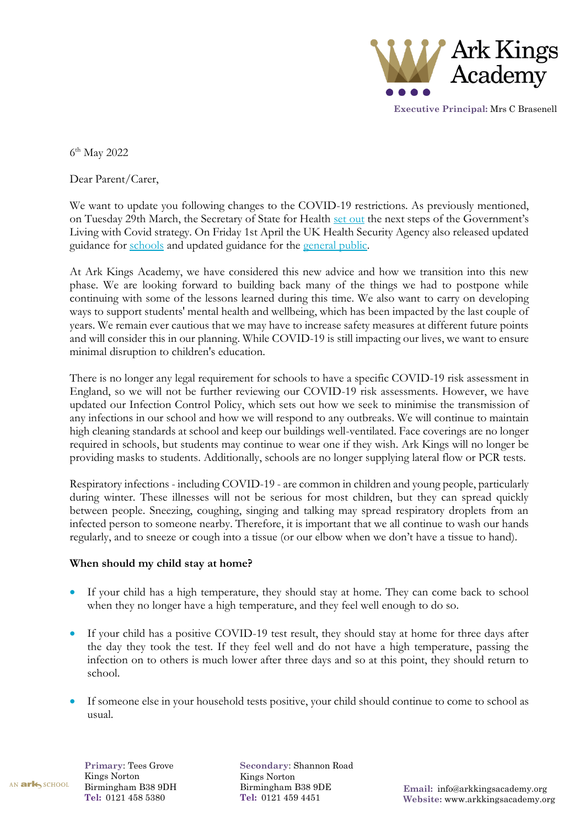

**Executive Principal:** Mrs C Brasenell

6 th May 2022

Dear Parent/Carer,

We want to update you following changes to the COVID-19 restrictions. As previously mentioned, on Tuesday 29th March, the Secretary of State for Health [set out](https://www.gov.uk/government/news/government-sets-out-next-steps-for-living-with-covid) the next steps of the Government's Living with Covid strategy. On Friday 1st April the UK Health Security Agency also released updated guidance for [schools](https://www.gov.uk/government/publications/health-protection-in-schools-and-other-childcare-facilities/chapter-3-public-health-management-of-specific-infectious-diseases) and updated guidance for the [general public.](https://www.gov.uk/guidance/people-with-symptoms-of-a-respiratory-infection-including-covid-19)

At Ark Kings Academy, we have considered this new advice and how we transition into this new phase. We are looking forward to building back many of the things we had to postpone while continuing with some of the lessons learned during this time. We also want to carry on developing ways to support students' mental health and wellbeing, which has been impacted by the last couple of years. We remain ever cautious that we may have to increase safety measures at different future points and will consider this in our planning. While COVID-19 is still impacting our lives, we want to ensure minimal disruption to children's education.

There is no longer any legal requirement for schools to have a specific COVID-19 risk assessment in England, so we will not be further reviewing our COVID-19 risk assessments. However, we have updated our Infection Control Policy, which sets out how we seek to minimise the transmission of any infections in our school and how we will respond to any outbreaks. We will continue to maintain high cleaning standards at school and keep our buildings well-ventilated. Face coverings are no longer required in schools, but students may continue to wear one if they wish. Ark Kings will no longer be providing masks to students. Additionally, schools are no longer supplying lateral flow or PCR tests.

Respiratory infections - including COVID-19 - are common in children and young people, particularly during winter. These illnesses will not be serious for most children, but they can spread quickly between people. Sneezing, coughing, singing and talking may spread respiratory droplets from an infected person to someone nearby. Therefore, it is important that we all continue to wash our hands regularly, and to sneeze or cough into a tissue (or our elbow when we don't have a tissue to hand).

## **When should my child stay at home?**

- If your child has a high temperature, they should stay at home. They can come back to school when they no longer have a high temperature, and they feel well enough to do so.
- If your child has a positive COVID-19 test result, they should stay at home for three days after the day they took the test. If they feel well and do not have a high temperature, passing the infection on to others is much lower after three days and so at this point, they should return to school.
- If someone else in your household tests positive, your child should continue to come to school as usual.

AN ark SCHOOL

**Primary**: Tees Grove Kings Norton Birmingham B38 9DH **Tel:** 0121 458 5380

**Secondary**: Shannon Road Kings Norton Birmingham B38 9DE **Tel:** 0121 459 4451